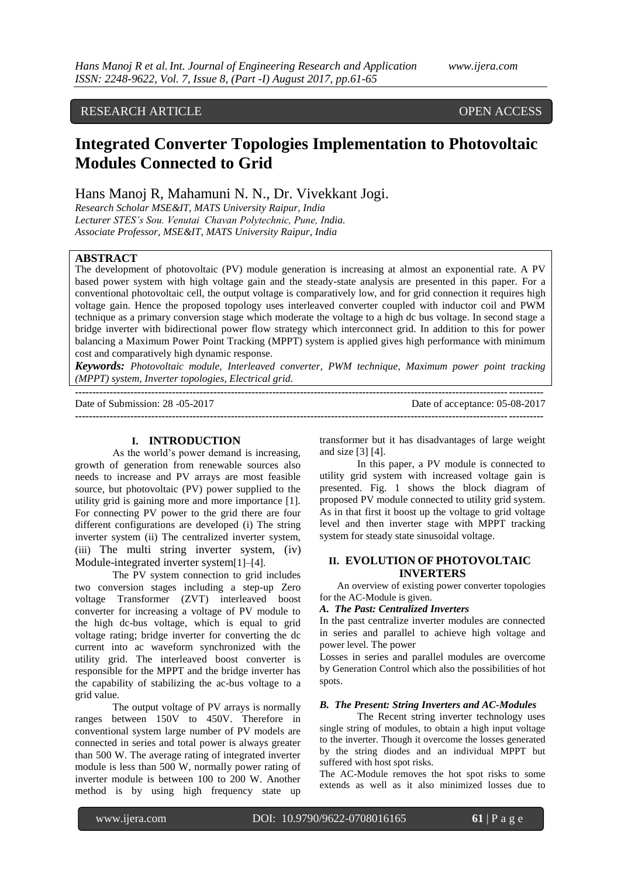### RESEARCH ARTICLE OPEN ACCESS

# **Integrated Converter Topologies Implementation to Photovoltaic Modules Connected to Grid**

### Hans Manoj R, Mahamuni N. N., Dr. Vivekkant Jogi.

*Research Scholar MSE&IT, MATS University Raipur, India Lecturer STES's Sou. Venutai Chavan Polytechnic, Pune, India. Associate Professor, MSE&IT, MATS University Raipur, India*

### **ABSTRACT**

The development of photovoltaic (PV) module generation is increasing at almost an exponential rate. A PV based power system with high voltage gain and the steady-state analysis are presented in this paper. For a conventional photovoltaic cell, the output voltage is comparatively low, and for grid connection it requires high voltage gain. Hence the proposed topology uses interleaved converter coupled with inductor coil and PWM technique as a primary conversion stage which moderate the voltage to a high dc bus voltage. In second stage a bridge inverter with bidirectional power flow strategy which interconnect grid. In addition to this for power balancing a Maximum Power Point Tracking (MPPT) system is applied gives high performance with minimum cost and comparatively high dynamic response.

*Keywords: Photovoltaic module, Interleaved converter, PWM technique, Maximum power point tracking (MPPT) system, Inverter topologies, Electrical grid.*

| Date of Submission: $28 - 05 - 2017$ | Date of acceptance: 05-08-2017 |
|--------------------------------------|--------------------------------|
|                                      |                                |

#### **I. INTRODUCTION**

As the world's power demand is increasing, growth of generation from renewable sources also needs to increase and PV arrays are most feasible source, but photovoltaic (PV) power supplied to the utility grid is gaining more and more importance [1]. For connecting PV power to the grid there are four different configurations are developed (i) The string inverter system (ii) The centralized inverter system, (iii) The multi string inverter system, (iv) Module-integrated inverter system[1]–[4].

The PV system connection to grid includes two conversion stages including a step-up Zero voltage Transformer (ZVT) interleaved boost converter for increasing a voltage of PV module to the high dc-bus voltage, which is equal to grid voltage rating; bridge inverter for converting the dc current into ac waveform synchronized with the utility grid. The interleaved boost converter is responsible for the MPPT and the bridge inverter has the capability of stabilizing the ac-bus voltage to a grid value.

The output voltage of PV arrays is normally ranges between 150V to 450V. Therefore in conventional system large number of PV models are connected in series and total power is always greater than 500 W. The average rating of integrated inverter module is less than 500 W, normally power rating of inverter module is between 100 to 200 W. Another method is by using high frequency state up

transformer but it has disadvantages of large weight and size [3] [4].

In this paper, a PV module is connected to utility grid system with increased voltage gain is presented. Fig. 1 shows the block diagram of proposed PV module connected to utility grid system. As in that first it boost up the voltage to grid voltage level and then inverter stage with MPPT tracking system for steady state sinusoidal voltage.

### **II. EVOLUTION OF PHOTOVOLTAIC INVERTERS**

An overview of existing power converter topologies for the AC-Module is given.

#### *A. The Past: Centralized Inverters*

In the past centralize inverter modules are connected in series and parallel to achieve high voltage and power level. The power

Losses in series and parallel modules are overcome by Generation Control which also the possibilities of hot spots.

### *B. The Present: String Inverters and AC-Modules*

The Recent string inverter technology uses single string of modules, to obtain a high input voltage to the inverter. Though it overcome the losses generated by the string diodes and an individual MPPT but suffered with host spot risks.

The AC-Module removes the hot spot risks to some extends as well as it also minimized losses due to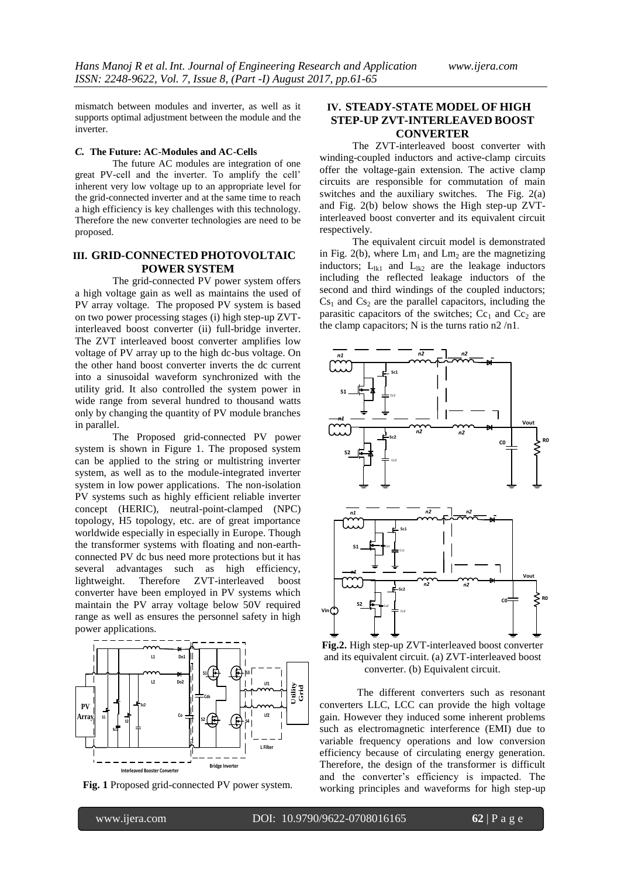mismatch between modules and inverter, as well as it supports optimal adjustment between the module and the inverter.

#### *C.* **The Future: AC-Modules and AC-Cells**

The future AC modules are integration of one great PV-cell and the inverter. To amplify the cell' inherent very low voltage up to an appropriate level for the grid-connected inverter and at the same time to reach a high efficiency is key challenges with this technology. Therefore the new converter technologies are need to be proposed.

### **III. GRID-CONNECTED PHOTOVOLTAIC POWER SYSTEM**

The grid-connected PV power system offers a high voltage gain as well as maintains the used of PV array voltage. The proposed PV system is based on two power processing stages (i) high step-up ZVTinterleaved boost converter (ii) full-bridge inverter. The ZVT interleaved boost converter amplifies low voltage of PV array up to the high dc-bus voltage. On the other hand boost converter inverts the dc current into a sinusoidal waveform synchronized with the utility grid. It also controlled the system power in wide range from several hundred to thousand watts only by changing the quantity of PV module branches in parallel.

The Proposed grid-connected PV power system is shown in Figure 1. The proposed system can be applied to the string or multistring inverter system, as well as to the module-integrated inverter system in low power applications. The non-isolation PV systems such as highly efficient reliable inverter concept (HERIC), neutral-point-clamped (NPC) topology, H5 topology, etc. are of great importance worldwide especially in especially in Europe. Though the transformer systems with floating and non-earthconnected PV dc bus need more protections but it has several advantages such as high efficiency, lightweight. Therefore ZVT-interleaved boost converter have been employed in PV systems which maintain the PV array voltage below 50V required range as well as ensures the personnel safety in high power applications.



**Fig. 1** Proposed grid-connected PV power system.

### **IV. STEADY-STATE MODEL OF HIGH STEP-UP ZVT-INTERLEAVED BOOST CONVERTER**

The ZVT-interleaved boost converter with winding-coupled inductors and active-clamp circuits offer the voltage-gain extension. The active clamp circuits are responsible for commutation of main switches and the auxiliary switches. The Fig. 2(a) and Fig. 2(b) below shows the High step-up ZVTinterleaved boost converter and its equivalent circuit respectively.

The equivalent circuit model is demonstrated in Fig. 2(b), where  $\text{Lm}_1$  and  $\text{Lm}_2$  are the magnetizing inductors;  $L_{lk1}$  and  $L_{lk2}$  are the leakage inductors including the reflected leakage inductors of the second and third windings of the coupled inductors;  $Cs<sub>1</sub>$  and  $Cs<sub>2</sub>$  are the parallel capacitors, including the parasitic capacitors of the switches;  $Cc_1$  and  $Cc_2$  are the clamp capacitors; N is the turns ratio  $n2/n1$ .



**Fig.2.** High step-up ZVT-interleaved boost converter and its equivalent circuit. (a) ZVT-interleaved boost converter. (b) Equivalent circuit.

The different converters such as resonant converters LLC, LCC can provide the high voltage gain. However they induced some inherent problems such as electromagnetic interference (EMI) due to variable frequency operations and low conversion efficiency because of circulating energy generation. Therefore, the design of the transformer is difficult and the converter's efficiency is impacted. The working principles and waveforms for high step-up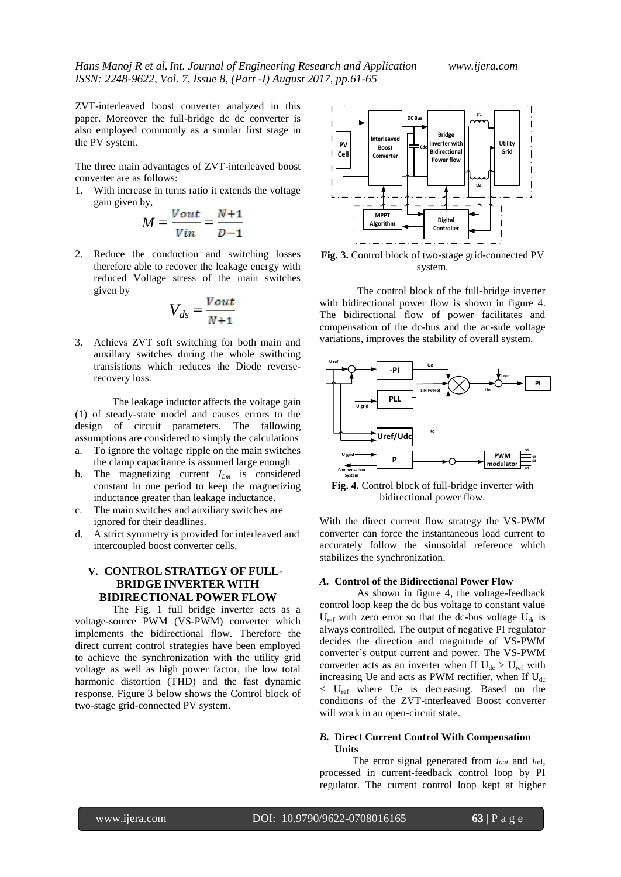ZVT-interleaved boost converter analyzed in this paper. Moreover the full-bridge dc–dc converter is also employed commonly as a similar first stage in the PV system.

The three main advantages of ZVT-interleaved boost converter are as follows:

1. With increase in turns ratio it extends the voltage gain given by,

$$
M = \frac{Vout}{Vin} = \frac{N+1}{D-1}
$$

2. Reduce the conduction and switching losses therefore able to recover the leakage energy with reduced Voltage stress of the main switches given by

$$
V_{ds} = \frac{V_{out}}{N+1}
$$

3. Achievs ZVT soft switching for both main and auxillary switches during the whole swithcing transistions which reduces the Diode reverserecovery loss.

The leakage inductor affects the voltage gain (1) of steady-state model and causes errors to the design of circuit parameters. The fallowing assumptions are considered to simply the calculations a. To ignore the voltage ripple on the main switches

- the clamp capacitance is assumed large enough
- b. The magnetizing current *ILm* is considered constant in one period to keep the magnetizing inductance greater than leakage inductance.
- c. The main switches and auxiliary switches are ignored for their deadlines.
- d. A strict symmetry is provided for interleaved and intercoupled boost converter cells.

## **V. CONTROL STRATEGY OF FULL-BRIDGE INVERTER WITH BIDIRECTIONAL POWER FLOW**

The Fig. 1 full bridge inverter acts as a voltage-source PWM (VS-PWM) converter which implements the bidirectional flow. Therefore the direct current control strategies have been employed to achieve the synchronization with the utility grid voltage as well as high power factor, the low total harmonic distortion (THD) and the fast dynamic response. Figure 3 below shows the Control block of two-stage grid-connected PV system.



**Fig. 3.** Control block of two-stage grid-connected PV system.

The control block of the full-bridge inverter with bidirectional power flow is shown in figure 4. The bidirectional flow of power facilitates and compensation of the dc-bus and the ac-side voltage variations, improves the stability of overall system.



**Fig. 4.** Control block of full-bridge inverter with bidirectional power flow.

With the direct current flow strategy the VS-PWM converter can force the instantaneous load current to accurately follow the sinusoidal reference which stabilizes the synchronization.

#### *A.* **Control of the Bidirectional Power Flow**

As shown in figure 4, the voltage-feedback control loop keep the dc bus voltage to constant value  $U_{ref}$  with zero error so that the dc-bus voltage  $U_{dc}$  is always controlled. The output of negative PI regulator decides the direction and magnitude of VS-PWM converter's output current and power. The VS-PWM converter acts as an inverter when If  $U_{dc} > U_{ref}$  with increasing Ue and acts as PWM rectifier, when If  $U_{dc}$  $\langle$  U<sub>ref</sub> where Ue is decreasing. Based on the conditions of the ZVT-interleaved Boost converter will work in an open-circuit state.

### *B.* **Direct Current Control With Compensation Units**

The error signal generated from *iout* and *i*ref, processed in current-feedback control loop by PI regulator. The current control loop kept at higher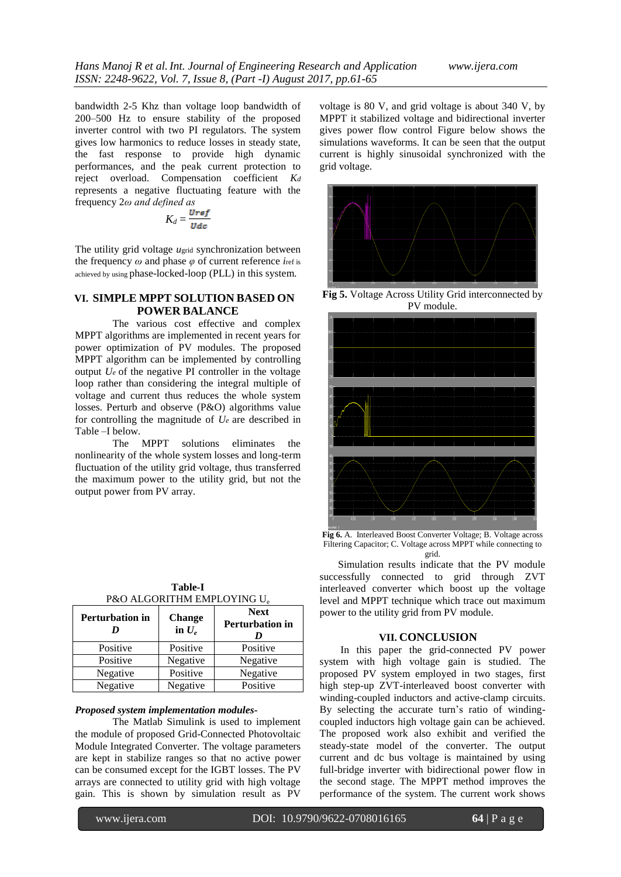bandwidth 2-5 Khz than voltage loop bandwidth of 200–500 Hz to ensure stability of the proposed inverter control with two PI regulators. The system gives low harmonics to reduce losses in steady state, the fast response to provide high dynamic performances, and the peak current protection to reject overload. Compensation coefficient *K<sup>d</sup>* represents a negative fluctuating feature with the frequency 2*ω and defined as* 

$$
K_d = \frac{\text{Uref}}{\text{Udc}}
$$

The utility grid voltage *u*grid synchronization between the frequency *ω* and phase *φ* of current reference *i*ref is achieved by using phase-locked-loop (PLL) in this system.

### **VI. SIMPLE MPPT SOLUTION BASED ON POWER BALANCE**

The various cost effective and complex MPPT algorithms are implemented in recent years for power optimization of PV modules. The proposed MPPT algorithm can be implemented by controlling output  $U_e$  of the negative PI controller in the voltage loop rather than considering the integral multiple of voltage and current thus reduces the whole system losses. Perturb and observe (P&O) algorithms value for controlling the magnitude of  $U_e$  are described in Table –I below.

The MPPT solutions eliminates the nonlinearity of the whole system losses and long-term fluctuation of the utility grid voltage, thus transferred the maximum power to the utility grid, but not the output power from PV array.

| <b>Perturbation in</b><br>I) | <b>Change</b><br>in $U_e$ | <b>Next</b><br><b>Perturbation in</b> |
|------------------------------|---------------------------|---------------------------------------|
| Positive                     | Positive                  | Positive                              |
| Positive                     | Negative                  | Negative                              |
| Negative                     | Positive                  | Negative                              |
| Negative                     | Negative                  | Positive                              |

### **Table-I D&O ALGORITHM EMPLOYING U**

#### *Proposed system implementation modules-*

The Matlab Simulink is used to implement the module of proposed Grid-Connected Photovoltaic Module Integrated Converter. The voltage parameters are kept in stabilize ranges so that no active power can be consumed except for the IGBT losses. The PV arrays are connected to utility grid with high voltage gain. This is shown by simulation result as PV

voltage is 80 V, and grid voltage is about 340 V, by MPPT it stabilized voltage and bidirectional inverter gives power flow control Figure below shows the simulations waveforms. It can be seen that the output current is highly sinusoidal synchronized with the grid voltage.



**Fig 5.** Voltage Across Utility Grid interconnected by PV module.



**Fig 6.** A. Interleaved Boost Converter Voltage; B. Voltage across Filtering Capacitor; C. Voltage across MPPT while connecting to grid.

 Simulation results indicate that the PV module successfully connected to grid through ZVT interleaved converter which boost up the voltage level and MPPT technique which trace out maximum power to the utility grid from PV module.

### **VII. CONCLUSION**

 In this paper the grid-connected PV power system with high voltage gain is studied. The proposed PV system employed in two stages, first high step-up ZVT-interleaved boost converter with winding-coupled inductors and active-clamp circuits. By selecting the accurate turn's ratio of windingcoupled inductors high voltage gain can be achieved. The proposed work also exhibit and verified the steady-state model of the converter. The output current and dc bus voltage is maintained by using full-bridge inverter with bidirectional power flow in the second stage. The MPPT method improves the performance of the system. The current work shows